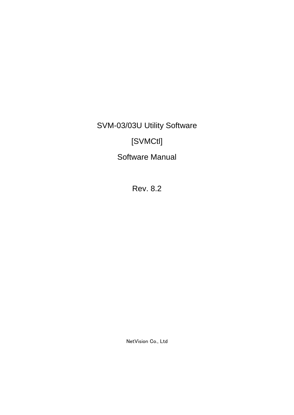SVM-03/03U Utility Software

# [SVMCtl]

Software Manual

Rev. 8.2

NetVision Co., Ltd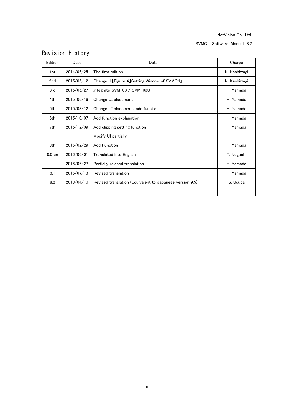SVMCtl Software Manual 8.2

| Edition         | Date       | Detail                                                   | Charge       |
|-----------------|------------|----------------------------------------------------------|--------------|
| 1st             | 2014/06/25 | The first edition                                        | N. Kashiwagi |
| 2 <sub>nd</sub> | 2015/05/12 | Change [[Figure 4] Setting Window of SVMCtl]             | N. Kashiwagi |
| 3rd             | 2015/05/27 | Integrate SVM-03 / SVM-03U                               | H. Yamada    |
| 4th             | 2015/06/16 | Change UI placement                                      | H. Yamada    |
| 5th             | 2015/08/12 | Change UI placement, add function                        | H. Yamada    |
| 6th             | 2015/10/07 | Add function explanation                                 | H. Yamada    |
| 7th             | 2015/12/09 | Add clipping setting function                            | H. Yamada    |
|                 |            | Modify UI partially                                      |              |
| 8th             | 2016/02/29 | <b>Add Function</b>                                      | H. Yamada    |
| 8.0 en          | 2016/06/01 | Translated into English                                  | T. Noguchi   |
|                 | 2016/06/27 | Partially revised translation                            | H. Yamada    |
| 8.1             | 2016/07/13 | Revised translation                                      | H. Yamada    |
| 8.2             | 2018/04/10 | Revised translation (Equivalent to Japanese version 9.5) | S. Usuba     |
|                 |            |                                                          |              |

## Revision History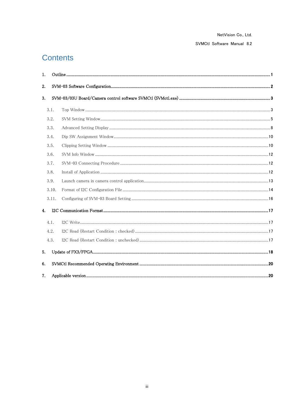SVMCtl Software Manual 8.2

## **Contents**

| 1. |       |                      |  |
|----|-------|----------------------|--|
| 2. |       |                      |  |
| 3. |       |                      |  |
|    | 3.1.  |                      |  |
|    | 3.2.  |                      |  |
|    | 3.3.  |                      |  |
|    | 3.4.  |                      |  |
|    | 3.5.  |                      |  |
|    | 3.6.  | 12 - SVM Info Window |  |
|    | 3.7.  |                      |  |
|    | 3.8.  |                      |  |
|    | 3.9.  |                      |  |
|    | 3.10. |                      |  |
|    | 3.11. |                      |  |
| 4. |       |                      |  |
|    | 4.1.  |                      |  |
|    | 4.2.  |                      |  |
|    | 4.3.  |                      |  |
| 5. |       |                      |  |
| 6. |       |                      |  |
| 7. |       |                      |  |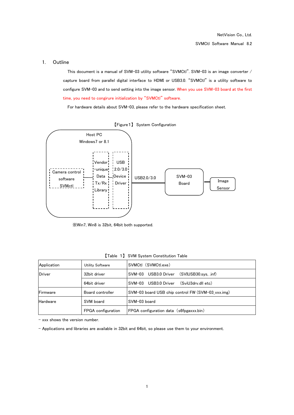## <span id="page-3-0"></span>1. Outline

This document is a manual of SVM-03 utility software "SVMCtl". SVM-03 is an image converter / capture board from parallel digital interface to HDMI or USB3.0. "SVMCtl" is a utility software to configure SVM-03 and to send setting into the image sensor. When you use SVM-03 board at the first time, you need to congirure initialization by "SVMCtl" software.

For hardware details about SVM-03, please refer to the hardware specification sheet.



※Win7, Win8 is 32bit, 64bit both supported.

| Application     | Utility Software   | SVMCtl (SVMCtl.exe)                               |  |
|-----------------|--------------------|---------------------------------------------------|--|
| <b>Driver</b>   | 32bit driver       | $(SVIUSB30.svs. \inf)$<br>USB3.0 Driver<br>SVM-03 |  |
|                 | 64bit driver       | USB3.0 Driver<br>(SviU3drv.dll etc)<br>SVM-03     |  |
| Firmware        | Board controller   | SVM-03 board USB chip control FW (SVM-03 vxx.img) |  |
| <b>Hardware</b> | SVM board          | SVM-03 board                                      |  |
|                 | FPGA configuration | FPGA configuration data (s6fpgaxxx.bin)           |  |

【Table 1】 SVM System Constitution Table

- xxx shows the version number.

- Applications and libraries are available in 32bit and 64bit, so please use them to your environment.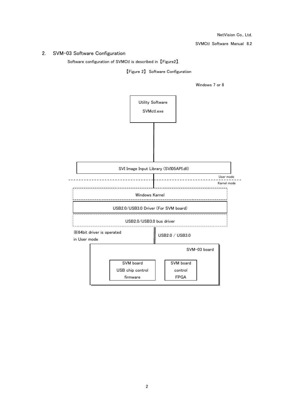SVMCtl Software Manual 8.2

## <span id="page-4-0"></span>2. SVM-03 Software Configuration

Software configuration of SVMCtl is described in 【Figure2】.

【Figure 2】 Software Configuration

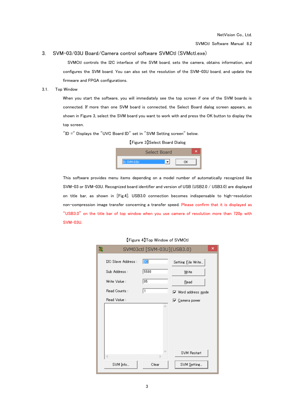#### <span id="page-5-0"></span>3. SVM-03/03U Board/Camera control software SVMCtl (SVMctl.exe)

SVMCtl controls the I2C interface of the SVM board, sets the camera, obtains information, and configures the SVM board. You can also set the resolution of the SVM-03U board, and update the firmware and FPGA configurations.

#### <span id="page-5-1"></span>3.1. Top Window

When you start the software, you will immediately see the top screen if one of the SVM boards is connected. If more than one SVM board is connected, the Select Board dialog screen appears, as shown in Figure 3, select the SVM board you want to work with and press the OK button to display the top screen.

"ID =" Displays the "UVC Board ID" set in "SVM Setting screen" below.

【Figure 3】Select Board Dialog



This software provides menu items depending on a model number of automatically recognized like SVM-03 or SVM-03U. Recognized board identifier and version of USB (USB2.0 / USB3.0) are displayed on title bar, as shown in [Fig.4]. USB3.0 connection becomes indispensable to high-resolution non-compression image transfer concerning a transfer speed. Please confirm that it is displayed as "USB3.0" on the title bar of top window when you use camera of resolution more than 720p with SVM-03U.

| 舚                   | SVM03ctl [SVM-03U](USB3.0) | ×                          |
|---------------------|----------------------------|----------------------------|
| I2C Slave Address : | 30                         | Setting Eile Write         |
| Sub Address:        | 5580                       | Write                      |
| Write Value:        | 05                         | Read                       |
| Read Counts:        | 1                          | <b>▽</b> Word address mode |
| Read Value:         |                            | 下 Camera power             |
|                     | ۸                          |                            |
|                     |                            |                            |
|                     |                            |                            |
|                     |                            |                            |
|                     |                            |                            |
| Ł                   | w<br>ъ                     | <b>SVM Restart</b>         |
| SVM Info            | Clear                      | SVM Setting                |
|                     |                            |                            |

#### 【Figure 4】Top Window of SVMCtl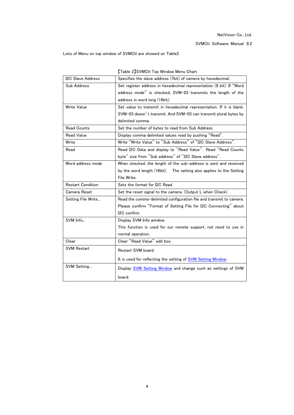Lists of Menu on top window of SVMCtl are showed on Table2.

| <b>I2C Slave Address</b> | Specifies the slave address (7bit) of camera by hexadecimal.         |
|--------------------------|----------------------------------------------------------------------|
| Sub Address              | Set register address in hexadecimal representation (8 bit). If "Word |
|                          | address mode" is checked, SVM-03 transmits the length of the         |
|                          | address in word long (16bit).                                        |
| Write Value              | Set value to transmit in hexadecimal representation. If it is blank, |
|                          | SVM-03 doesn't transmit. And SVM-03 can transmit plural bytes by     |
|                          | delimited comma.                                                     |
| <b>Read Counts</b>       | Set the number of bytes to read from Sub Address.                    |
| <b>Read Value</b>        | Display comma delimited values read by pushing "Read".               |
| Write                    | Write "Write Value" to "Sub Address" of "I2C Slave Address".         |
| Read                     | Read I2C Data and display to "Read Value". Read "Read Counts         |
|                          | byte" size from "Sub address" of "I2C Slave address".                |
| Word address mode        | When checked, the length of the sub-address is sent and received     |
|                          | by the word length (16bit). The setting also applies to the Setting  |
|                          | File Write.                                                          |
| <b>Restart Condition</b> | Sets the format for I2C Read.                                        |
| Camera Reset             | Set the reset signal to the camera. (Output L when Check)            |
| Setting File Write       | Read the comma-delimited configuration file and transmit to camera.  |
|                          | Please confirm "Format of Setting File for I2C Connecting" about     |
|                          | I2C confirm.                                                         |
| SVM Info                 | Display SVM Info window.                                             |
|                          | This function is used for our remote support, not need to use in     |
|                          | normal operation.                                                    |
| Clear                    | Clear "Read Value" edit box.                                         |
| <b>SVM Restart</b>       | Restart SVM board.                                                   |
|                          | It is used for reflecting the setting of SVM Setting Window.         |
| SVM Setting              | Display SVM Setting Window and change such as settings of SVM        |
|                          | board.                                                               |

【Table 2】SVMCtl Top Window Menu Chart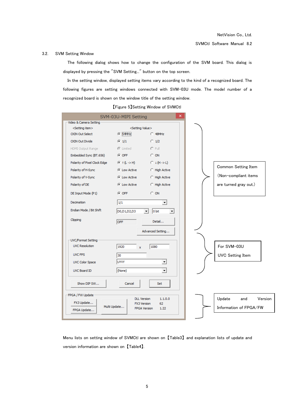#### <span id="page-7-0"></span>3.2. SVM Setting Window

The following dialog shows how to change the configuration of the SVM board. This dialog is displayed by pressing the "SVM Setting..." button on the top screen.

In the setting window, displayed setting items vary according to the kind of a recognized board. The following figures are setting windows connected with SVM-03U mode. The model number of a recognized board is shown on the window title of the setting window.

|                                                        | SVM-03U-MIPI Setting         | ×                                                       |
|--------------------------------------------------------|------------------------------|---------------------------------------------------------|
| Video & Camera Setting -                               |                              |                                                         |
| <setting item=""><br/><b>CKIN Out Select</b></setting> | <setting value=""></setting> | $C$ 48MHz                                               |
|                                                        | $C$ 54MHz                    |                                                         |
| <b>CKIN Out Divide</b>                                 | $C_1/1$                      | $\bigcirc$ 1/2                                          |
| HDMI Output Range                                      | ⊙ Limited                    | $O$ Full                                                |
| Embedded Sync (BT.656)                                 | $C$ OFF                      | $C$ ON                                                  |
| Polarity of Pixel Clock Edge                           | $F(t \rightarrow H)$         | $C \downarrow (H \rightarrow L)$                        |
| Polarity of H-Sync                                     | C Low Active                 | <b>C</b> High Active                                    |
| Polarity of V-Sync                                     | C Low Active                 | <b>C</b> High Active                                    |
| Polarity of DE                                         | C Low Active                 | C High Active                                           |
| DE Input Mode (P1)                                     | $C$ OFF                      | $\bigcirc$ ON                                           |
|                                                        |                              |                                                         |
| <b>Decimation</b>                                      | 1/1                          | $\blacktriangledown$                                    |
| Endian Mode / Bit Shift                                | D0,D1,D2,D3                  | 0 bit<br>$\blacktriangledown$                           |
| Clipping                                               |                              |                                                         |
|                                                        | OFF                          | Detail                                                  |
|                                                        |                              | Advanced Setting                                        |
| UVC/Format Setting                                     |                              |                                                         |
| <b>UVC Resolution</b>                                  | 1920<br>x                    | 1080                                                    |
| <b>UVC FPS</b>                                         |                              |                                                         |
|                                                        | 30                           |                                                         |
| <b>UVC Color Space</b>                                 | UYVY                         | ▼                                                       |
| UVC Board ID                                           | (None)                       | ۰                                                       |
|                                                        |                              |                                                         |
| Show DIP SW                                            | Cancel                       | Set                                                     |
|                                                        |                              |                                                         |
| -FPGA / FW Update                                      | <b>DLL Version</b>           | 1.1.0.0                                                 |
| FX3 Update                                             | Multi Update                 | 62<br><b>FX3 Version</b><br><b>FPGA Version</b><br>1.22 |
| FPGA Update                                            |                              |                                                         |
|                                                        |                              |                                                         |

【Figure 5】Setting Window of SVMCtl

Menu lists on setting window of SVMCtl are shown on 【Table3】 and explanation lists of update and version information are shown on 【Table4】.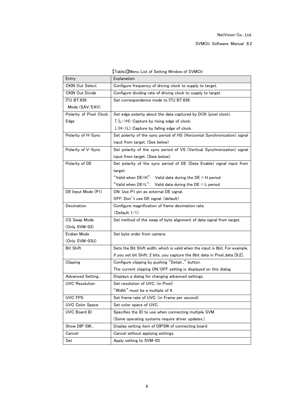| Entry                   | Taples Imeria List of Setting Window of SWINGH<br>Explanation                 |
|-------------------------|-------------------------------------------------------------------------------|
|                         |                                                                               |
| <b>CKIN Out Select</b>  | Configure frequency of driving clock to supply to target.                     |
| <b>CKIN Out Divide</b>  | Configure dividing rate of driving clock to supply to target.                 |
| <b>ITU BT.656</b>       | Set correspondence mode to ITU BT.656.                                        |
| Mode (SAV/EAV)          |                                                                               |
| Polarity of Pixel Clock | Set edge polarity about the data captured by DCK (pixel clock).               |
| Edge                    | $\int (L-\lambda H)$ : Capture by rising edge of clock.                       |
|                         | $\downarrow$ (H->L): Capture by falling edge of clock.                        |
| Polarity of H-Sync      | Set polarity of the sync period of HS (Horizontal Synchronization) signal     |
|                         | input from target. (See below)                                                |
| Polarity of V-Sync      | Set polarity of the sync period of VS (Vertical Synchronization) signal       |
|                         | input from target. (Sww below)                                                |
| Polarity of DE          | Set polarity of the sync period of DE (Data Enable) signal input from         |
|                         | target.                                                                       |
|                         | "Valid when DE=H": Valid data during the DE = H period                        |
|                         | "Valid when $DE=L$ ": Valid data during the $DE = L$ period                   |
| DE Input Mode (P1)      | ON: Use P1 pin as external DE signal.                                         |
|                         | OFF: Don't use DE signal. (default)                                           |
| Decimation              | Configure magnification of frame decimation rate.                             |
|                         | (Default 1/1)                                                                 |
| CS Swap Mode            | Set method of the swap of byte alignment of data signal from target.          |
| (Only SVM-03)           |                                                                               |
| Endian Mode             | Set byte order from camera.                                                   |
| (Only SVM-03U)          |                                                                               |
| <b>Bit Shift</b>        | Sets the Bit Shift width, which is valid when the input is 8bit. For example, |
|                         | if you set bit Shift: 2 bits, you capture the 8bit data in Pixel_data [9:2].  |
| Clipping                | Configure clipping by pushing "Detail" button.                                |
|                         | The current clipping ON/OFF setting is displayed on this dialog.              |
|                         |                                                                               |
| Advanced Setting        | Displays a dialog for changing advanced settings.                             |
| <b>UVC Resolution</b>   | Set resolution of UVC. (in Pixel)                                             |
|                         | "Width" must be a multiple of 4.                                              |
| UVC FPS                 | Set frame rate of UVC. (in Frame per second)                                  |
| <b>UVC Color Space</b>  | Set color space of UVC.                                                       |
| <b>UVC Board ID</b>     | Specifies the ID to use when connecting multiple SVM.                         |
|                         | (Some operating systems require driver updates.)                              |
| Show DIP SW             | Display setting item of DIPSW of connecting board                             |
| Cancel                  | Cancel without applying settings.                                             |
| Set                     | Apply setting to SVM-03.                                                      |

【Table3】Menu List of Setting Window of SVMCtl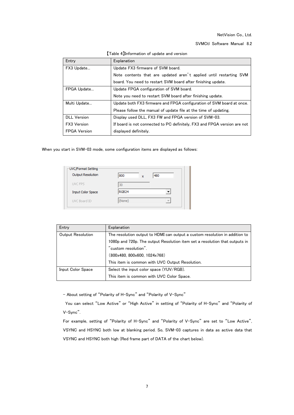SVMCtl Software Manual 8.2

| Entry               | Explanation                                                              |
|---------------------|--------------------------------------------------------------------------|
| FX3 Update          | Update FX3 firmware of SVM board.                                        |
|                     | Note contents that are updated aren't applied until restarting SVM       |
|                     | board. You need to restart SVM board after finishing update.             |
| FPGA Update         | Update FPGA configuration of SVM board.                                  |
|                     | Note you need to restart SVM board after finishing update.               |
| Multi Update        | Update both FX3 firmware and FPGA configuration of SVM board at once.    |
|                     | Please follow the manual of update file at the time of updating.         |
| <b>DLL Version</b>  | Display used DLL, FX3 FW and FPGA version of SVM-03.                     |
| FX3 Version         | If board is not connected to PC definitely, FX3 and FPGA version are not |
| <b>FPGA Version</b> | displayed definitely.                                                    |

【Table 4】Information of update and version

When you start in SVM-03 mode, some configuration items are displayed as follows:

| UVC/Format Setting<br>Output Resolution | 800<br>X          | 480                      |
|-----------------------------------------|-------------------|--------------------------|
| UVC FPS                                 | 30                |                          |
| <b>Input Color Space</b>                | RGB <sub>24</sub> |                          |
| UVC Board ID                            | (None)            | $\overline{\phantom{a}}$ |

| Entry             | Explanation                                                                 |
|-------------------|-----------------------------------------------------------------------------|
| Output Resolution | The resolution output to HDMI can output a custom resolution in addition to |
|                   | 1080p and 720p. The output Resolution item set a resolution that outputs in |
|                   | $\check{}$ custom resolution $\tilde{}$ .                                   |
|                   | (800x480, 800x600, 1024x768)                                                |
|                   | This item is common with UVC Output Resolution.                             |
| Input Color Space | Select the input color space (YUV/RGB).                                     |
|                   | This item is common with UVC Color Space.                                   |

- About setting of "Polarity of H-Sync" and "Polarity of V-Sync"

You can select "Low Active" or "High Active" in setting of "Polarity of H-Sync" and "Polarity of V-Sync".

For example, setting of "Polarity of H-Sync" and "Polarity of V-Sync" are set to "Low Active", VSYNC and HSYNC both low at blanking period. So, SVM-03 captures in data as active data that VSYNC and HSYNC both high (Red frame part of DATA of the chart below).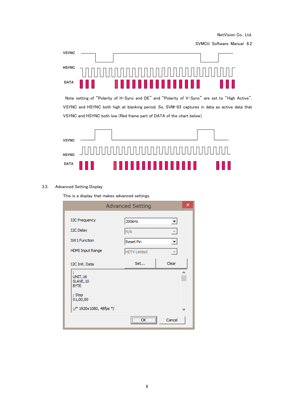SVMCtl Software Manual 8.2



Note setting of "Polarity of H-Sync and DE" and "Polarity of V-Sync" are set to "High Active", VSYNC and HSYNC both high at blanking period. So, SVM-03 captures in data as active data that VSYNC and HSYNC both low (Red frame part of DATA of the chart below).



## <span id="page-10-0"></span>3.3. Advanced Setting Display

This is a display that makes advanced settings.

|                                                                                     | <b>Advanced Setting</b>                                  |            | × |
|-------------------------------------------------------------------------------------|----------------------------------------------------------|------------|---|
| <b>I2C Frequency</b><br><b>I2C Delay</b><br>SW1 Function<br><b>HDMI Input Range</b> | 200kHz<br>N/A<br><b>Reset Pin</b><br><b>HDTV Limited</b> |            |   |
| I2C Init, Data<br>r<br><b>UNIT, 16</b>                                              | Set                                                      | Clear<br>۸ |   |
| SLAVE, 10<br><b>BYTE</b><br>; Stop<br>01,00,00                                      |                                                          |            |   |
| ;/* 1920x1080, 48fps */                                                             |                                                          | w          |   |
|                                                                                     | <br>ΩK                                                   | Cancel     |   |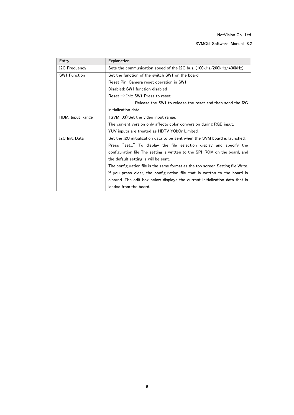| Entry                   | Explanation                                                                     |
|-------------------------|---------------------------------------------------------------------------------|
| I2C Frequency           | Sets the communication speed of the I2C bus. (100kHz/200kHz/400kHz)             |
| <b>SW1 Function</b>     | Set the function of the switch SW1 on the board.                                |
|                         | Reset Pin: Camera reset operation in SW1                                        |
|                         | Disabled: SW1 function disabled                                                 |
|                         | Reset $\rightarrow$ Init: SW1 Press to reset                                    |
|                         | Release the SW1 to release the reset and then send the I2C                      |
|                         | initialization data.                                                            |
| <b>HDMI</b> Input Range | (SVM-03) Set the video input range.                                             |
|                         | The current version only affects color conversion during RGB input.             |
|                         | YUV inputs are treated as HDTV YCbCr Limited.                                   |
| I2C Init. Data          | Set the I2C initialization data to be sent when the SVM board is launched.      |
|                         | Press "set" To display the file selection display and specify the               |
|                         | configuration file The setting is written to the SPI-ROM on the board, and      |
|                         | the default setting is will be sent.                                            |
|                         | The configuration file is the same format as the top screen Setting file Write. |
|                         | If you press clear, the configuration file that is written to the board is      |
|                         | cleared. The edit box below displays the current initialization data that is    |
|                         | loaded from the board.                                                          |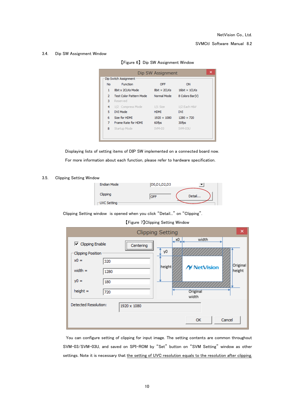#### <span id="page-12-0"></span>3.4. Dip SW Assignment Window

【Figure 6】 Dip SW Assignment Window

| ×<br>Dip SW Assignment |                |                                |                     |                      |  |  |  |
|------------------------|----------------|--------------------------------|---------------------|----------------------|--|--|--|
|                        |                | Dip Switch Assignment          |                     |                      |  |  |  |
|                        | <b>No</b>      | Function                       | OFF                 | ON                   |  |  |  |
|                        | 1              | 8bit x 2CLKs Mode              | $8bit \times 2CLKs$ | $16bit \times 1CLKs$ |  |  |  |
|                        | $\overline{2}$ | <b>Test Color Pattern Mode</b> | Normal Mode         | 8 Colors Bar(V)      |  |  |  |
|                        | з              | Reserved                       |                     |                      |  |  |  |
|                        | 4              | 1/2 Compress Mode              | 1/1 Size            | 1/2 Each H&V         |  |  |  |
|                        | 5              | DVI Mode                       | <b>HDMT</b>         | <b>DVI</b>           |  |  |  |
|                        | 6              | Size for HDMI                  | $1920 \times 1080$  | $1280 \times 720$    |  |  |  |
|                        | 7              | Frame Rate for HDMI            | 60fps               | 30fps                |  |  |  |
|                        | 8              | Startup Mode                   | SVM-03              | SVM-03U              |  |  |  |
|                        |                |                                |                     |                      |  |  |  |
|                        |                |                                |                     |                      |  |  |  |

Displaying lists of setting items of DIP SW implemented on a connected board now. For more information about each function, please refer to hardware specification.

#### <span id="page-12-1"></span>3.5. Clipping Setting Window

| Endian Mode                         | D0,D1,D2,D3 |        |
|-------------------------------------|-------------|--------|
| Clipping<br>$\sqsubset$ UVC Setting | <b>DEF</b>  | Detail |

Clipping Setting window is opened when you click "Detail..." on "Clipping".

【Figure 7】Clipping Setting Window

|                                            | <b>Clipping Setting</b> |                   | ×                  |
|--------------------------------------------|-------------------------|-------------------|--------------------|
| $\nabla$ Clipping Enable                   | <br>Centering           | , x0<br>width     |                    |
| <b>Clipping Position</b>                   | y0                      |                   |                    |
| $x0 =$<br>320                              |                         |                   |                    |
| width $=$<br>1280                          | height                  | <b>NetVision</b>  | Original<br>height |
| $y0 =$<br>180                              |                         |                   |                    |
| $height =$<br>720                          |                         | Original<br>width |                    |
| <b>Detected Resolution:</b><br>1920 x 1080 |                         |                   |                    |
|                                            |                         | OK                | Cancel             |

You can configure setting of clipping for input image. The setting contents are common throughout SVM-03/SVM-03U, and saved on SPI-ROM by "Set" button on "SVM Setting" window as other settings. Note it is necessary that the setting of UVC resolution equals to the resolution after clipping.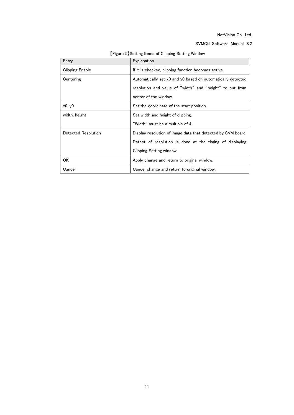SVMCtl Software Manual 8.2

| Entry                  | Explanation                                                  |
|------------------------|--------------------------------------------------------------|
| <b>Clipping Enable</b> | If it is checked, clipping function becomes active.          |
| Centering              | Automatically set x0 and y0 based on automatically detected  |
|                        | resolution and value of "width" and "height" to cut from     |
|                        | center of the window.                                        |
| x0, y0                 | Set the coordinate of the start position.                    |
| width, height          | Set width and height of clipping.                            |
|                        | "Width" must be a multiple of 4.                             |
| Detected Resolution    | Display resolution of image data that detected by SVM board. |
|                        | Detect of resolution is done at the timing of displaying     |
|                        | Clipping Setting window.                                     |
| ОK                     | Apply change and return to original window.                  |
| Cancel                 | Cancel change and return to original window.                 |

【Figure 5】Setting Items of Clipping Setting Window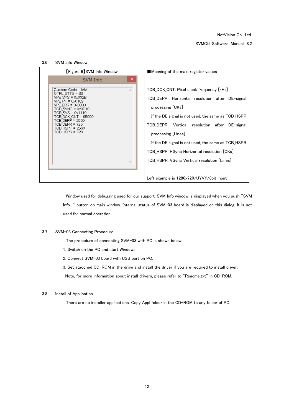SVMCtl Software Manual 8.2

<span id="page-14-0"></span>

Window used for debugging used for our support. SVM Info window is displayed when you push "SVM Info..." button on main window. Internal status of SVM-03 board is displayed on this dialog. It is not used for normal operation.

#### <span id="page-14-1"></span>3.7. SVM-03 Connecting Procedure

The procedure of connecting SVM-03 with PC is shown below.

- 1. Switch on the PC and start Windows.
- 2. Connect SVM-03 board with USB port on PC.

3. Set atacched CD-ROM in the drive and install the driver if you are required to install driver.

Note, for more information about install drivers, please refer to "Readme.txt" in CD-ROM.

## <span id="page-14-2"></span>3.8. Install of Application

There are no installer applications. Copy Appl folder in the CD-ROM to any folder of PC.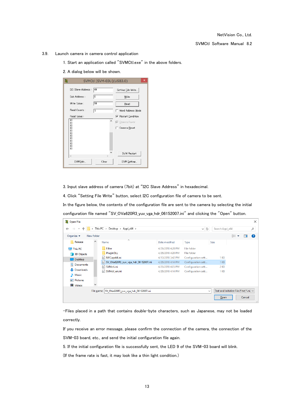- <span id="page-15-0"></span>3.9. Launch camera in camera control application
	- 1. Start an application called "SVMCtl.exe" in the above folders.
	- 2. A dialog below will be shown.

| 湤 |                         | SVMCtl [SVM-03U](USB3.0) | $\boldsymbol{\mathsf{x}}$  |
|---|-------------------------|--------------------------|----------------------------|
|   | I2C Slave Address:      | 140                      | Setting File Write         |
|   | Sub Address:            | lo                       | Write                      |
|   | Write Value:            | 90                       | Read                       |
|   | Read Counts :           | 1                        | Word Address Mode          |
|   | Read Value :            |                          | <b>▽</b> Restart Condition |
|   | 80<br>00                | ۸                        | <b>▽</b> Camera Power      |
|   | 00<br>00<br>00          |                          | ⊤ Camera Reset             |
|   | 00<br>00                |                          |                            |
|   | 00<br>$\boldsymbol{00}$ |                          |                            |
|   | 00<br>ŌŌ.               |                          |                            |
|   | 80                      |                          | SVM Restart                |
|   | $\lt$                   | $\geq$                   |                            |
|   | SVM Info                | Clear                    | SVM Setting                |

3. Input slave address of camera (7bit) at "I2C Slave Address" in hexadecimal.

4. Click "Setting File Write" button, select I2C configuration file of camera to be sent.

In the figure below, the contents of the configuration file are sent to the camera by selecting the initial

configuration file named "SV\_OVa620R3\_yuv\_vga\_hdr\_06152007.ini" and clicking the "Open" button.

| 箋<br><b>Open File</b>                         |                 |                                                 |                   |                    |                 |                                         | ×      |
|-----------------------------------------------|-----------------|-------------------------------------------------|-------------------|--------------------|-----------------|-----------------------------------------|--------|
| $\rightarrow$<br>$\mathbf{v}$<br>$\leftarrow$ | Search Appl_x64 |                                                 | مر                |                    |                 |                                         |        |
| Organize $\blacktriangledown$                 | New folder      |                                                 |                   |                    |                 | 999 ▼                                   | ℯ<br>Ш |
| Release                                       | $\land$         | ᄉ<br>Name                                       | Date modified     | Type               | Size            |                                         |        |
| This PC                                       |                 | Filter                                          | 4/26/2018 4:20 PM | <b>File folder</b> |                 |                                         |        |
| 3D Objects                                    |                 | PluginDLL                                       | 4/26/2018 4:20 PM | File folder        |                 |                                         |        |
| $\Box$ Desktop                                |                 | NVCapx64.ini<br>ė.                              | 4/10/2018 3:42 PM | Configuration sett | 1 KB            |                                         |        |
| 琧<br>Documents                                |                 | SV_OVa620R3_yuv_vga_hdr_06152007.ini<br>梅       | 4/26/2018 4:14 PM | Configuration sett | 1 <sub>KB</sub> |                                         |        |
|                                               |                 | 듥<br>SVMctl.ini                                 | 4/26/2018 4:05 PM | Configuration sett | 2 KB            |                                         |        |
| Downloads                                     |                 | 越<br>SVMctl_en.ini                              | 4/26/2018 4:14 PM | Configuration sett | 1 KB            |                                         |        |
| У<br>Music                                    |                 |                                                 |                   |                    |                 |                                         |        |
| Pictures                                      |                 |                                                 |                   |                    |                 |                                         |        |
| <b>W</b> Videos                               |                 |                                                 |                   |                    |                 |                                         |        |
|                                               |                 | File name: SV_OVa620R3_yuv_vga_hdr_06152007.ini |                   |                    | $\checkmark$    | Text and Initialize File (*.txt,*.ini > |        |
|                                               |                 |                                                 |                   |                    | $Q$ pen         |                                         | Cancel |

-Files placed in a path that contains double-byte characters, such as Japanese, may not be loaded correctly.

If you receive an error message, please confirm the connection of the camera, the connection of the SVM-03 board, etc., and send the initial configuration file again.

5. If the initial configuration file is successfully sent, the LED 9 of the SVM-03 board will blink.

(If the frame rate is fast, it may look like a thin light condition.)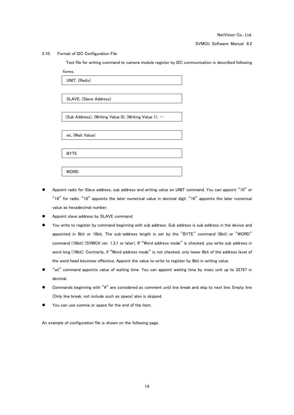SVMCtl Software Manual 8.2

#### <span id="page-16-0"></span>3.10. Format of I2C Configuration File

Text file for writing command to camera module register by I2C communication is described following forms.

| UNIT, (Radix)                                        |
|------------------------------------------------------|
|                                                      |
| SLAVE, (Slave Address)                               |
|                                                      |
| (Sub Address), (Writing Value 0), (Writing Value 1), |
|                                                      |
| wt, (Wait Value)                                     |
|                                                      |
| <b>BYTE</b>                                          |
|                                                      |
| <b>WORD</b>                                          |

- Appoint radix for Slave address, sub address and writing value on UNIT command. You can appoint "10" or "16" for radix. "10" appoints the later numerical value in decimal digit. "16" appoints the later numerical value as hexadecimal number.
- Appoint slave address by SLAVE command.
- You write to register by command beginning with sub address. Sub address is sub address in the device and appointed in 8bit or 16bit. The sub-address length is set by the "BYTE" command (8bit) or "WORD" command (16bit) (SVMCtl ver. 1.3.1 or later). If "Word address mode" is checked, you write sub address in word long (16bit). Contrarily, if "Word address mode" is not checked, only lower 8bit of the address level of the word head becomes effective. Appoint the value to write to register by 8bit in writing value.
- "wt" command appoints value of waiting time. You can appoint waiting time by msec unit up to 32767 in decimal.
- Commands beginning with "#" are considered as comment until line break and skip to next line. Empty line (Only line break, not include such as space) also is skipped.
- You can use comma or space for the end of the item.

An example of configuration file is shown on the following page.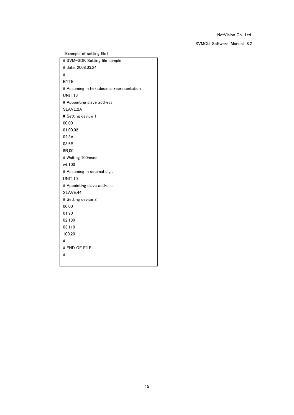SVMCtl Software Manual 8.2

(Example of setting file) # SVM-SDK Setting file sample # date: 2008.03.24 # BYTE # Assuming in hexadecimal representation UNIT,16 # Appointing slave address SLAVE,2A # Setting device 1 00,00 01,00,02 02,3A 03,6B 8B,00 # Waiting 100msec wt,100 # Assuming in decimal digit UNIT,10 # Appointing slave address SLAVE,44 # Setting device 2 00,00 01,90 02,130 03,110 100,20 # # END OF FILE #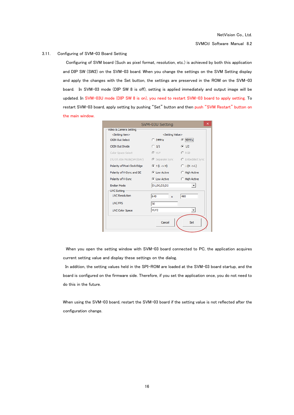#### <span id="page-18-0"></span>3.11. Configuring of SVM-03 Board Setting

Configuring of SVM board (Such as pixel format, resolution, etc.) is achieved by both this application and DIP SW (SW2) on the SVM-03 board. When you change the settings on the SVM Setting display and apply the changes with the Set button, the settings are preserved in the ROM on the SVM-03 board. In SVM-03 mode (DIP SW 8 is off), setting is applied immediately and output image will be updated. In SVM-03U mode (DIP SW 8 is on), you need to restart SVM-03 board to apply setting. To restart SVM-03 board, apply setting by pushing "Set" button and then push "SVM Restart" button on the main window.

|                                                                    | SVM-03U Setting              | ×                                |
|--------------------------------------------------------------------|------------------------------|----------------------------------|
| Video & Camera Setting                                             |                              |                                  |
| <setting item=""></setting>                                        | <setting value=""></setting> |                                  |
| <b>CKIN Out Select</b>                                             | $C$ 54MHz                    | $C$ 48MHz                        |
| <b>CKIN Out Divide</b>                                             | $\bigcirc$ 1/1               | $C$ 1/2                          |
| Color Space Select                                                 | © YUV                        | $C$ RGB                          |
| ITU BT.656 Mode(SAV/EAV) - © Separate Sync - C Embedded Sync       |                              |                                  |
| Polarity of Pixel Clock Edge $\qquad$ $\qquad$ $\uparrow$ (L -> H) |                              | $C \downarrow (H \rightarrow L)$ |
| Polarity of H-Sync and DE <b>C</b> Low Active                      |                              | C High Active                    |
| Polarity of V-Sync                                                 | C Low Active                 | C High Active                    |
| <b>Endian Mode</b>                                                 | D1,D0,D3,D2                  |                                  |
| UVC Setting                                                        |                              |                                  |
| <b>UVC Resolution</b>                                              | 640<br>$\mathbf{x}$          | 480                              |
| <b>UVC FPS</b>                                                     | 30                           |                                  |
| <b>UVC Color Space</b>                                             | YUY2                         |                                  |
|                                                                    | Cancel                       | Set                              |

When you open the setting window with SVM-03 board connected to PC, the application acquires current setting value and display these settings on the dialog.

In addition, the setting values held in the SPI-ROM are loaded at the SVM-03 board startup, and the board is configured on the firmware side. Therefore, if you set the application once, you do not need to do this in the future.

When using the SVM-03 board, restart the SVM-03 board if the setting value is not reflected after the configuration change.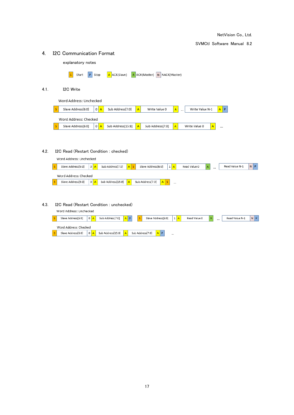<span id="page-19-1"></span><span id="page-19-0"></span>4. I2C Communication Format explanatory notes S Start P Stop A ACK(Slave) A ACK(Master) N NACK(Master) 4.1. I2C Write Word Address: Unchecked Slave Address[6:0]  $0 \overline{A}$ Sub Address[7:0] Write Value N-1  $A$   $P$ | s  $\mathsf{A}$ Write Value 0  $\mathsf A$ Word Address: Checked s Slave Address[6:0]  $0$   $A$ Sub Address[15:8]  $\bar{\mathbf{A}}$ Sub Address[7:0] A Write Value 0  $\overline{A}$  $\ddotsc$ 4.2. I2C Read (Restart Condition : checked) Word Address: Unchecked Slave Address[6:0]  $|0|$  A Sub Address[7:0] Slave Address[6:0] Read Value 0 Read Value N-1  $N$   $P$  $1 \overline{A}$  $\mathbf{s}$  $A$  S  $\mathsf{A}$ Word Address: Checked Slave Address[6:0]  $|0|A|$ Sub Address[15:8]  $\vert s \vert$ Sub Address[7:0]  $A |S|$  $\mathsf{A}$  $\ddotsc$ 4.3. I2C Read (Restart Condition : unchecked)

<span id="page-19-3"></span><span id="page-19-2"></span>

| Word Address: Unchecked |         |                   |         |                    |  |              |                |      |                |                |
|-------------------------|---------|-------------------|---------|--------------------|--|--------------|----------------|------|----------------|----------------|
| Slave Address[6:0]      | $\circ$ | Sub Address[7:0]  | $A$ $P$ | Slave Address[6:0] |  | Read Value 0 | $\overline{A}$ | 1.11 | Read Value N-1 | N <sub>P</sub> |
| Word Address: Checked   |         |                   |         |                    |  |              |                |      |                |                |
| Slave Address[6:0]      | $\circ$ | Sub Address[15:8] | A       | Sub Address[7:0]   |  |              |                |      |                |                |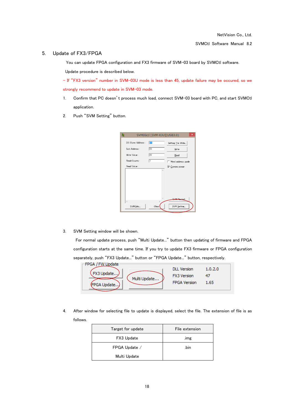## <span id="page-20-0"></span>5. Update of FX3/FPGA

You can update FPGA configuration and FX3 firmware of SVM-03 board by SVMCtl software.

Update procedure is described below.

- If "FX3 version" number in SVM-03U mode is less than 45, update failure may be occured, so we strongly recommend to update in SVM-03 mode.

- 1. Confirm that PC doesn't process much load, connect SVM-03 board with PC, and start SVMCtl application.
- 2. Push "SVM Setting" button.

| 麓                   | SVM03ctl [SVM-03U](USB3.0) | $\overline{\mathsf{x}}$ |
|---------------------|----------------------------|-------------------------|
| I2C Slave Address : | $\sqrt{61}$                | Setting File Write      |
| Sub-Address :       | 03                         | Write                   |
| Write Value:        | 05                         | Read                    |
| Read Counts:        | 1                          | Word address mode       |
| Read Value:         |                            | <b>▽</b> Camera power   |
|                     | $\wedge$                   |                         |
|                     |                            |                         |
|                     |                            |                         |
|                     |                            |                         |
|                     |                            |                         |
| $\,<$               | $\mathcal{P}$              | <b>SVM Restart</b>      |
| SVM Info            | Clear                      | SVM Setting             |
|                     |                            |                         |

3. SVM Setting window will be shown.

For normal update process, push "Multi Update..." button then updating of firmware and FPGA configuration starts at the same time. If you try to update FX3 firmware or FPGA configuration separately, push "FX3 Update..." button or "FPGA Update..." button, respectively.

| -FPGA / FW Update<br>(FX3 Update)<br>Multi Update | <b>DLL Version</b><br><b>FX3</b> Version | 1.0.2.0 |  |
|---------------------------------------------------|------------------------------------------|---------|--|
| (FPGA Update)                                     | <b>FPGA Version</b>                      | 1.65    |  |

4. After window for selecting file to update is displayed, select the file. The extension of file is as follows.

| Target for update | File extension |
|-------------------|----------------|
| FX3 Update        | .img           |
| FPGA Update /     | .bin           |
| Multi Update      |                |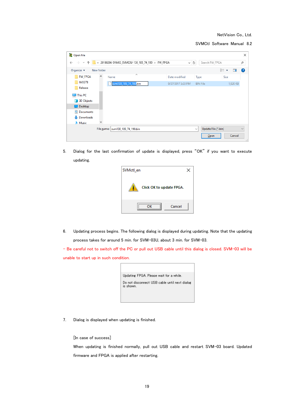SVMCtl Software Manual 8.2

| 28 Open File                                     |            |                                                  |                   |                                     |               | $\times$     |
|--------------------------------------------------|------------|--------------------------------------------------|-------------------|-------------------------------------|---------------|--------------|
| $\rightarrow$ $\rightarrow$<br>个<br>$\leftarrow$ |            | « 20180206-SVM03_SVM03U-130_185_74_190 > FW_FPGA | $\checkmark$      | Search FW_FPGA<br>Ō                 |               | ٩            |
| Organize $\blacktriangleright$                   | New folder |                                                  |                   |                                     | 明 ▼<br>$\Box$ | 0            |
| <b>FW_FPGA</b>                                   | $\wedge$   | ᄉ<br>Name                                        | Date modified     | Type                                | Size          |              |
| <b>IMX378</b>                                    |            | svm130_185_74_190.bin                            | 9/27/2017 3:23 PM | <b>BIN File</b>                     | 1,920 KB      |              |
| Release                                          |            |                                                  |                   |                                     |               |              |
| $\Box$ This PC                                   |            |                                                  |                   |                                     |               |              |
| <b>3D Objects</b>                                |            |                                                  |                   |                                     |               |              |
| Desktop                                          |            |                                                  |                   |                                     |               |              |
| 兽<br>Documents                                   |            |                                                  |                   |                                     |               |              |
| Downloads                                        |            |                                                  |                   |                                     |               |              |
| $M$ Music                                        |            |                                                  |                   |                                     |               |              |
|                                                  |            | File name:   svm130_185_74_190.bin               |                   | Update File (*.bin)<br>$\checkmark$ |               | $\checkmark$ |
|                                                  |            |                                                  |                   | Open                                | Cancel        | a)           |

5. Dialog for the last confirmation of update is displayed, press "OK" if you want to execute updating.

| SVMctl_en                |  |
|--------------------------|--|
| Click OK to update FPGA. |  |
| Cancel<br>ΩK             |  |

6. Updating process begins. The following dialog is displayed during updating. Note that the updating process takes for around 5 min. for SVM-03U, about 3 min. for SVM-03.

- Be careful not to switch off the PC or pull out USB cable until this dialog is closed. SVM-03 will be unable to start up in such condition.

| Updating FPGA, Please wait for a while.                    |
|------------------------------------------------------------|
| Do not disconnect USB cable until next dialog<br>is shown. |
|                                                            |

7. Dialog is displayed when updating is finished.

[In case of success]

When updating is finished normally, pull out USB cable and restart SVM-03 board. Updated firmware and FPGA is applied after restarting.